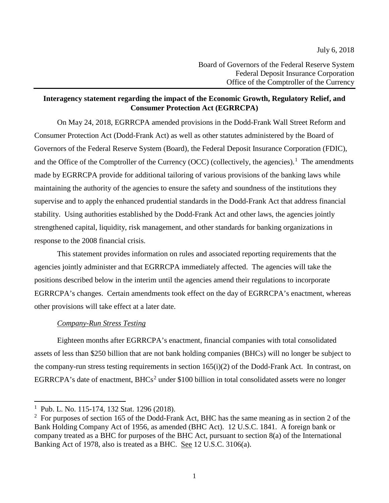# **Interagency statement regarding the impact of the Economic Growth, Regulatory Relief, and Consumer Protection Act (EGRRCPA)**

On May 24, 2018, EGRRCPA amended provisions in the Dodd-Frank Wall Street Reform and Consumer Protection Act (Dodd-Frank Act) as well as other statutes administered by the Board of Governors of the Federal Reserve System (Board), the Federal Deposit Insurance Corporation (FDIC), and the Office of the Comptroller of the Currency (OCC) (collectively, the agencies).<sup>[1](#page-0-0)</sup> The amendments made by EGRRCPA provide for additional tailoring of various provisions of the banking laws while maintaining the authority of the agencies to ensure the safety and soundness of the institutions they supervise and to apply the enhanced prudential standards in the Dodd-Frank Act that address financial stability. Using authorities established by the Dodd-Frank Act and other laws, the agencies jointly strengthened capital, liquidity, risk management, and other standards for banking organizations in response to the 2008 financial crisis.

This statement provides information on rules and associated reporting requirements that the agencies jointly administer and that EGRRCPA immediately affected. The agencies will take the positions described below in the interim until the agencies amend their regulations to incorporate EGRRCPA's changes. Certain amendments took effect on the day of EGRRCPA's enactment, whereas other provisions will take effect at a later date.

## *Company-Run Stress Testing*

Eighteen months after EGRRCPA's enactment, financial companies with total consolidated assets of less than \$250 billion that are not bank holding companies (BHCs) will no longer be subject to the company-run stress testing requirements in section 165(i)(2) of the Dodd-Frank Act. In contrast, on EGRRCPA's date of enactment, BHCs<sup>[2](#page-0-1)</sup> under \$100 billion in total consolidated assets were no longer

 $\overline{\phantom{a}}$ 

<span id="page-0-0"></span><sup>1</sup> Pub. L. No. 115-174, 132 Stat. 1296 (2018).

<span id="page-0-1"></span><sup>&</sup>lt;sup>2</sup> For purposes of section 165 of the Dodd-Frank Act, BHC has the same meaning as in section 2 of the Bank Holding Company Act of 1956, as amended (BHC Act). 12 U.S.C. 1841. A foreign bank or company treated as a BHC for purposes of the BHC Act, pursuant to section 8(a) of the International Banking Act of 1978, also is treated as a BHC. See 12 U.S.C. 3106(a).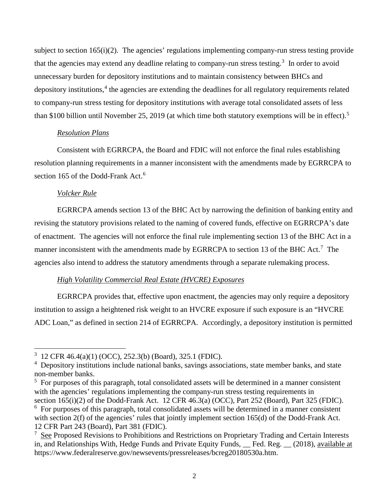subject to section  $165(i)(2)$ . The agencies' regulations implementing company-run stress testing provide that the agencies may extend any deadline relating to company-run stress testing.<sup>[3](#page-1-0)</sup> In order to avoid unnecessary burden for depository institutions and to maintain consistency between BHCs and depository institutions, [4](#page-1-1) the agencies are extending the deadlines for all regulatory requirements related to company-run stress testing for depository institutions with average total consolidated assets of less than \$100 billion until November 25, 2019 (at which time both statutory exemptions will be in effect). [5](#page-1-2)

### *Resolution Plans*

Consistent with EGRRCPA, the Board and FDIC will not enforce the final rules establishing resolution planning requirements in a manner inconsistent with the amendments made by EGRRCPA to section 1[6](#page-1-3)5 of the Dodd-Frank Act.<sup>6</sup>

### *Volcker Rule*

l

EGRRCPA amends section 13 of the BHC Act by narrowing the definition of banking entity and revising the statutory provisions related to the naming of covered funds, effective on EGRRCPA's date of enactment. The agencies will not enforce the final rule implementing section 13 of the BHC Act in a manner inconsistent with the amendments made by EGRRCPA to section 13 of the BHC Act.<sup>[7](#page-1-4)</sup> The agencies also intend to address the statutory amendments through a separate rulemaking process.

## *High Volatility Commercial Real Estate (HVCRE) Exposures*

EGRRCPA provides that, effective upon enactment, the agencies may only require a depository institution to assign a heightened risk weight to an HVCRE exposure if such exposure is an "HVCRE ADC Loan," as defined in section 214 of EGRRCPA. Accordingly, a depository institution is permitted

<span id="page-1-0"></span><sup>3</sup> 12 CFR 46.4(a)(1) (OCC), 252.3(b) (Board), 325.1 (FDIC).

<span id="page-1-1"></span><sup>&</sup>lt;sup>4</sup> Depository institutions include national banks, savings associations, state member banks, and state non-member banks.

<span id="page-1-2"></span> $<sup>5</sup>$  For purposes of this paragraph, total consolidated assets will be determined in a manner consistent</sup> with the agencies' regulations implementing the company-run stress testing requirements in section 165(i)(2) of the Dodd-Frank Act. 12 CFR 46.3(a) (OCC), Part 252 (Board), Part 325 (FDIC).

<span id="page-1-3"></span><sup>&</sup>lt;sup>6</sup> For purposes of this paragraph, total consolidated assets will be determined in a manner consistent with section 2(f) of the agencies' rules that jointly implement section 165(d) of the Dodd-Frank Act. 12 CFR Part 243 (Board), Part 381 (FDIC).

<span id="page-1-4"></span><sup>&</sup>lt;sup>7</sup> See Proposed Revisions to Prohibitions and Restrictions on Proprietary Trading and Certain Interests in, and Relationships With, Hedge Funds and Private Equity Funds, Fed. Reg. (2018), available at https://www.federalreserve.gov/newsevents/pressreleases/bcreg20180530a.htm.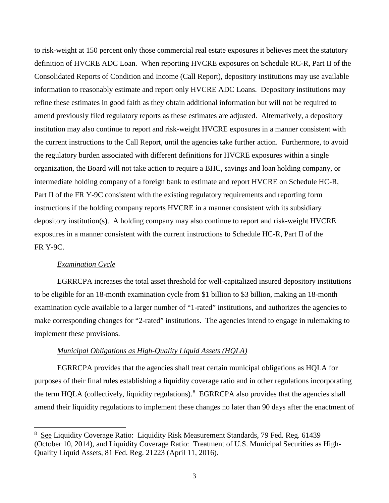to risk-weight at 150 percent only those commercial real estate exposures it believes meet the statutory definition of HVCRE ADC Loan. When reporting HVCRE exposures on Schedule RC-R, Part II of the Consolidated Reports of Condition and Income (Call Report), depository institutions may use available information to reasonably estimate and report only HVCRE ADC Loans. Depository institutions may refine these estimates in good faith as they obtain additional information but will not be required to amend previously filed regulatory reports as these estimates are adjusted. Alternatively, a depository institution may also continue to report and risk-weight HVCRE exposures in a manner consistent with the current instructions to the Call Report, until the agencies take further action. Furthermore, to avoid the regulatory burden associated with different definitions for HVCRE exposures within a single organization, the Board will not take action to require a BHC, savings and loan holding company, or intermediate holding company of a foreign bank to estimate and report HVCRE on Schedule HC-R, Part II of the FR Y-9C consistent with the existing regulatory requirements and reporting form instructions if the holding company reports HVCRE in a manner consistent with its subsidiary depository institution(s). A holding company may also continue to report and risk-weight HVCRE exposures in a manner consistent with the current instructions to Schedule HC-R, Part II of the FR Y-9C.

#### *Examination Cycle*

l

EGRRCPA increases the total asset threshold for well-capitalized insured depository institutions to be eligible for an 18-month examination cycle from \$1 billion to \$3 billion, making an 18-month examination cycle available to a larger number of "1-rated" institutions, and authorizes the agencies to make corresponding changes for "2-rated" institutions. The agencies intend to engage in rulemaking to implement these provisions.

### *Municipal Obligations as High-Quality Liquid Assets (HQLA)*

EGRRCPA provides that the agencies shall treat certain municipal obligations as HQLA for purposes of their final rules establishing a liquidity coverage ratio and in other regulations incorporating the term HQLA (collectively, liquidity regulations).<sup>[8](#page-2-0)</sup> EGRRCPA also provides that the agencies shall amend their liquidity regulations to implement these changes no later than 90 days after the enactment of

<span id="page-2-0"></span><sup>8</sup> See Liquidity Coverage Ratio: Liquidity Risk Measurement Standards, 79 Fed. Reg. 61439 (October 10, 2014), and Liquidity Coverage Ratio: Treatment of U.S. Municipal Securities as High-Quality Liquid Assets, 81 Fed. Reg. 21223 (April 11, 2016).